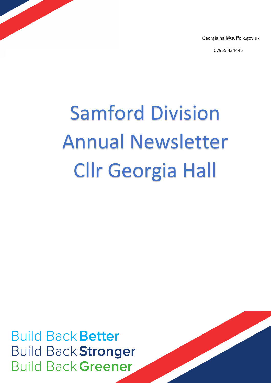Georgia.hall@suffolk.gov.uk

07955 434445

# Samford Division Annual Newsletter Cllr Georgia Hall

**Build Back Better Build Back Stronger Build Back Greener**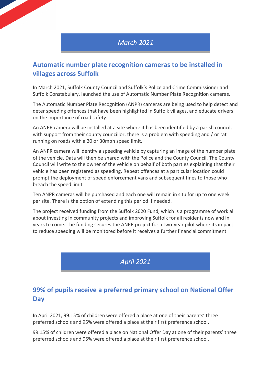# *March 2021*

# **Automatic number plate recognition cameras to be installed in villages across Suffolk**

In March 2021, Suffolk County Council and Suffolk's Police and Crime Commissioner and Suffolk Constabulary, launched the use of Automatic Number Plate Recognition cameras.

The Automatic Number Plate Recognition (ANPR) cameras are being used to help detect and deter speeding offences that have been highlighted in Suffolk villages, and educate drivers on the importance of road safety.

An ANPR camera will be installed at a site where it has been identified by a parish council, with support from their county councillor, there is a problem with speeding and / or rat running on roads with a 20 or 30mph speed limit.

An ANPR camera will identify a speeding vehicle by capturing an image of the number plate of the vehicle. Data will then be shared with the Police and the County Council. The County Council will write to the owner of the vehicle on behalf of both parties explaining that their vehicle has been registered as speeding. Repeat offences at a particular location could prompt the deployment of speed enforcement vans and subsequent fines to those who breach the speed limit.

Ten ANPR cameras will be purchased and each one will remain in situ for up to one week per site. There is the option of extending this period if needed.

The project received funding from the Suffolk 2020 Fund, which is a programme of work all about investing in community projects and improving Suffolk for all residents now and in years to come. The funding secures the ANPR project for a two-year pilot where its impact to reduce speeding will be monitored before it receives a further financial commitment.

*April 2021* 

# **99% of pupils receive a preferred primary school on National Offer Day**

In April 2021, 99.15% of children were offered a place at one of their parents' three preferred schools and 95% were offered a place at their first preference school.

99.15% of children were offered a place on National Offer Day at one of their parents' three preferred schools and 95% were offered a place at their first preference school.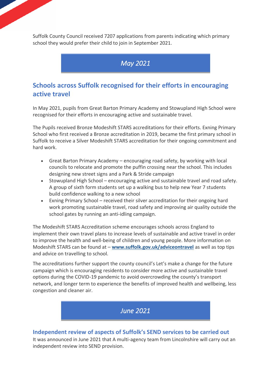Suffolk County Council received 7207 applications from parents indicating which primary school they would prefer their child to join in September 2021.

# *May 2021*

# **Schools across Suffolk recognised for their efforts in encouraging active travel**

In May 2021, pupils from Great Barton Primary Academy and Stowupland High School were recognised for their efforts in encouraging active and sustainable travel.

The Pupils received Bronze Modeshift STARS accreditations for their efforts. Exning Primary School who first received a Bronze accreditation in 2019, became the first primary school in Suffolk to receive a Silver Modeshift STARS accreditation for their ongoing commitment and hard work.

- Great Barton Primary Academy encouraging road safety, by working with local councils to relocate and promote the puffin crossing near the school. This includes designing new street signs and a Park & Stride campaign
- Stowupland High School encouraging active and sustainable travel and road safety. A group of sixth form students set up a walking bus to help new Year 7 students build confidence walking to a new school
- Exning Primary School received their silver accreditation for their ongoing hard work promoting sustainable travel, road safety and improving air quality outside the school gates by running an anti-idling campaign.

The Modeshift STARS Accreditation scheme encourages schools across England to implement their own travel plans to increase levels of sustainable and active travel in order to improve the health and well-being of children and young people. More information on Modeshift STARS can be found at – **[www.suffolk.gov.uk/adviceontravel](https://www.suffolk.gov.uk/coronavirus-covid-19/advice-on-travel/)** as well as top tips and advice on travelling to school.

The accreditations further support the county council's Let's make a change for the future campaign which is encouraging residents to consider more active and sustainable travel options during the COVID-19 pandemic to avoid overcrowding the county's transport network, and longer term to experience the benefits of improved health and wellbeing, less congestion and cleaner air.

*June 2021* 

## **Independent review of aspects of Suffolk's SEND services to be carried out**

It was announced in June 2021 that A multi-agency team from Lincolnshire will carry out an independent review into SEND provision.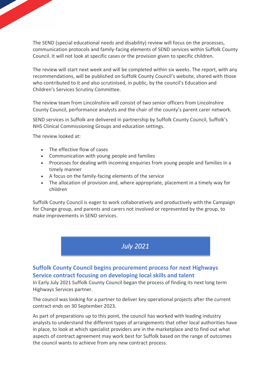The SEND (special educational needs and disability) review will focus on the processes, communication protocols and family-facing elements of SEND services within Suffolk County Council. It will not look at specific cases or the provision given to specific children.

The review will start next week and will be completed within six weeks. The report, with any recommendations, will be published on Suffolk County Council's website, shared with those who contributed to it and also scrutinised, in public, by the council's Education and Children's Services Scrutiny Committee.

The review team from Lincolnshire will consist of two senior officers from Lincolnshire County Council, performance analysts and the chair of the county's parent carer network.

SEND services in Suffolk are delivered in partnership by Suffolk County Council, Suffolk's NHS Clinical Commissioning Groups and education settings.

The review looked at:

- The effective flow of cases
- Communication with young people and families
- Processes for dealing with incoming enquiries from young people and families in a timely manner
- A focus on the family-facing elements of the service
- The allocation of provision and, where appropriate, placement in a timely way for children

Suffolk County Council is eager to work collaboratively and productively with the Campaign for Change group, and parents and carers not involved or represented by the group, to make improvements in SEND services.

*July 2021* 

## **Suffolk County Council begins procurement process for next Highways Service contract focusing on developing local skills and talent**

In Early July 2021 Suffolk County Council began the process of finding its next long term Highways Services partner.

The council was looking for a partner to deliver key operational projects after the current contract ends on 30 September 2023.

As part of preparations up to this point, the council has worked with leading industry analysts to understand the different types of arrangements that other local authorities have in place, to look at which specialist providers are in the marketplace and to find out what aspects of contract agreement may work best for Suffolk based on the range of outcomes the council wants to achieve from any new contract process.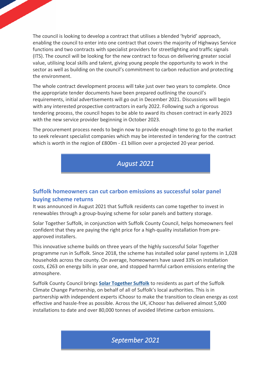The council is looking to develop a contract that utilises a blended 'hybrid' approach, enabling the council to enter into one contract that covers the majority of Highways Service functions and two contracts with specialist providers for streetlighting and traffic signals (ITS). The council will be looking for the new contract to focus on delivering greater social value, utilising local skills and talent, giving young people the opportunity to work in the sector as well as building on the council's commitment to carbon reduction and protecting the environment.

The whole contract development process will take just over two years to complete. Once the appropriate tender documents have been prepared outlining the council's requirements, initial advertisements will go out in December 2021. Discussions will begin with any interested prospective contractors in early 2022. Following such a rigorous tendering process, the council hopes to be able to award its chosen contract in early 2023 with the new service provider beginning in October 2023.

The procurement process needs to begin now to provide enough time to go to the market to seek relevant specialist companies which may be interested in tendering for the contract which is worth in the region of £800m - £1 billion over a projected 20 year period.

*August 2021* 

## **Suffolk homeowners can cut carbon emissions as successful solar panel buying scheme returns**

It was announced in August 2021 that Suffolk residents can come together to invest in renewables through a group-buying scheme for solar panels and battery storage.

Solar Together Suffolk, in conjunction with Suffolk County Council, helps homeowners feel confident that they are paying the right price for a high-quality installation from preapproved installers.

This innovative scheme builds on three years of the highly successful Solar Together programme run in Suffolk. Since 2018, the scheme has installed solar panel systems in 1,028 households across the county. On average, homeowners have saved 33% on installation costs, £263 on energy bills in year one, and stopped harmful carbon emissions entering the atmosphere.

Suffolk County Council brings **[Solar Together Suffolk](https://www.suffolk.gov.uk/planning-waste-and-environment/initiatives/solar-together-suffolk/)** to residents as part of the Suffolk Climate Change Partnership, on behalf of all of Suffolk's local authorities. This is in partnership with independent experts iChoosr to make the transition to clean energy as cost effective and hassle-free as possible. Across the UK, iChoosr has delivered almost 5,000 installations to date and over 80,000 tonnes of avoided lifetime carbon emissions.

*September 2021*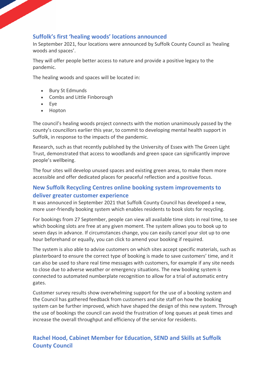## **Suffolk's first 'healing woods' locations announced**

In September 2021, four locations were announced by Suffolk County Council as 'healing woods and spaces'.

They will offer people better access to nature and provide a positive legacy to the pandemic.

The healing woods and spaces will be located in:

- Bury St Edmunds
- Combs and Little Finborough
- Eye
- Hopton

The council's healing woods project connects with the motion unanimously passed by the county's councillors earlier this year, to commit to developing mental health support in Suffolk, in response to the impacts of the pandemic.

Research, such as that recently published by the University of Essex with The Green Light Trust, demonstrated that access to woodlands and green space can significantly improve people's wellbeing.

The four sites will develop unused spaces and existing green areas, to make them more accessible and offer dedicated places for peaceful reflection and a positive focus.

## **New Suffolk Recycling Centres online booking system improvements to deliver greater customer experience**

It was announced in September 2021 that Suffolk County Council has developed a new, more user-friendly booking system which enables residents to book slots for recycling.

For bookings from 27 September, people can view all available time slots in real time, to see which booking slots are free at any given moment. The system allows you to book up to seven days in advance. If circumstances change, you can easily cancel your slot up to one hour beforehand or equally, you can click to amend your booking if required.

The system is also able to advise customers on which sites accept specific materials, such as plasterboard to ensure the correct type of booking is made to save customers' time, and it can also be used to share real time messages with customers, for example if any site needs to close due to adverse weather or emergency situations. The new booking system is connected to automated numberplate recognition to allow for a trial of automatic entry gates.

Customer survey results show overwhelming support for the use of a booking system and the Council has gathered feedback from customers and site staff on how the booking system can be further improved, which have shaped the design of this new system. Through the use of bookings the council can avoid the frustration of long queues at peak times and increase the overall throughput and efficiency of the service for residents.

## **Rachel Hood, Cabinet Member for Education, SEND and Skills at Suffolk County Council**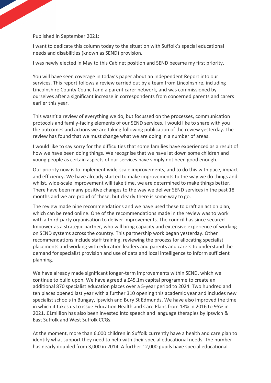#### Published in September 2021:

I want to dedicate this column today to the situation with Suffolk's special educational needs and disabilities (known as SEND) provision.

I was newly elected in May to this Cabinet position and SEND became my first priority.

You will have seen coverage in today's paper about an Independent Report into our services. This report follows a review carried out by a team from Lincolnshire, including Lincolnshire County Council and a parent carer network, and was commissioned by ourselves after a significant increase in correspondents from concerned parents and carers earlier this year.

This wasn't a review of everything we do, but focussed on the processes, communication protocols and family-facing elements of our SEND services. I would like to share with you the outcomes and actions we are taking following publication of the review yesterday. The review has found that we must change what we are doing in a number of areas.

I would like to say sorry for the difficulties that some families have experienced as a result of how we have been doing things. We recognise that we have let down some children and young people as certain aspects of our services have simply not been good enough.

Our priority now is to implement wide-scale improvements, and to do this with pace, impact and efficiency. We have already started to make improvements to the way we do things and whilst, wide-scale improvement will take time, we are determined to make things better. There have been many positive changes to the way we deliver SEND services in the past 18 months and we are proud of these, but clearly there is some way to go.

The review made nine recommendations and we have used these to draft an action plan, which can be read online. One of the recommendations made in the review was to work with a third-party organisation to deliver improvements. The council has since secured Impower as a strategic partner, who will bring capacity and extensive experience of working on SEND systems across the country. This partnership work began yesterday. Other recommendations include staff training, reviewing the process for allocating specialist placements and working with education leaders and parents and carers to understand the demand for specialist provision and use of data and local intelligence to inform sufficient planning.

We have already made significant longer-term improvements within SEND, which we continue to build upon. We have agreed a £45.1m capital programme to create an additional 870 specialist education places over a 5-year period to 2024. Two hundred and ten places opened last year with a further 310 opening this academic year and includes new specialist schools in Bungay, Ipswich and Bury St Edmunds. We have also improved the time in which it takes us to issue Education Health and Care Plans from 18% in 2016 to 95% in 2021. £1million has also been invested into speech and language therapies by Ipswich & East Suffolk and West Suffolk CCGs.

At the moment, more than 6,000 children in Suffolk currently have a health and care plan to identify what support they need to help with their special educational needs. The number has nearly doubled from 3,000 in 2014. A further 12,000 pupils have special educational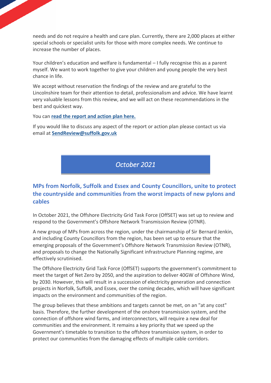needs and do not require a health and care plan. Currently, there are 2,000 places at either special schools or specialist units for those with more complex needs. We continue to increase the number of places.

Your children's education and welfare is fundamental – I fully recognise this as a parent myself. We want to work together to give your children and young people the very best chance in life.

We accept without reservation the findings of the review and are grateful to the Lincolnshire team for their attention to detail, professionalism and advice. We have learnt very valuable lessons from this review, and we will act on these recommendations in the best and quickest way.

You can **[read the report and action plan here.](https://www.suffolk.gov.uk/children-families-and-learning/send-and-the-local-offer/independent-send-review-september-2021/)**

If you would like to discuss any aspect of the report or action plan please contact us via email at **[SendReview@suffolk.gov.uk](mailto:SendReview@suffolk.gov.uk)**

*October 2021* 

## **MPs from Norfolk, Suffolk and Essex and County Councillors, unite to protect the countryside and communities from the worst impacts of new pylons and cables**

In October 2021, the Offshore Electricity Grid Task Force (OffSET) was set up to review and respond to the Government's Offshore Network Transmission Review (OTNR).

A new group of MPs from across the region, under the chairmanship of Sir Bernard Jenkin, and including County Councillors from the region, has been set up to ensure that the emerging proposals of the Government's Offshore Network Transmission Review (OTNR), and proposals to change the Nationally Significant infrastructure Planning regime, are effectively scrutinised.

The Offshore Electricity Grid Task Force (OffSET) supports the government's commitment to meet the target of Net Zero by 2050, and the aspiration to deliver 40GW of Offshore Wind, by 2030. However, this will result in a succession of electricity generation and connection projects in Norfolk, Suffolk, and Essex, over the coming decades, which will have significant impacts on the environment and communities of the region.

The group believes that these ambitions and targets cannot be met, on an "at any cost" basis. Therefore, the further development of the onshore transmission system, and the connection of offshore wind farms, and interconnectors, will require a new deal for communities and the environment. It remains a key priority that we speed up the Government's timetable to transition to the offshore transmission system, in order to protect our communities from the damaging effects of multiple cable corridors.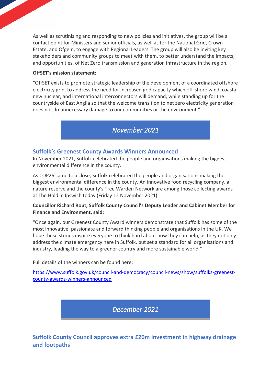As well as scrutinising and responding to new policies and initiatives, the group will be a contact point for Ministers and senior officials, as well as for the National Grid, Crown Estate, and Ofgem, to engage with Regional Leaders. The group will also be inviting key stakeholders and community groups to meet with them, to better understand the impacts, and opportunities, of Net Zero transmission and generation infrastructure in the region.

#### **OffSET's mission statement:**

"OffSET exists to promote strategic leadership of the development of a coordinated offshore electricity grid, to address the need for increased grid capacity which off-shore wind, coastal new nuclear, and international interconnectors will demand, while standing up for the countryside of East Anglia so that the welcome transition to net zero electricity generation does not do unnecessary damage to our communities or the environment."

## *November 2021*

#### **Suffolk's Greenest County Awards Winners Announced**

In November 2021, Suffolk celebrated the people and organisations making the biggest environmental difference in the county.

As COP26 came to a close, Suffolk celebrated the people and organisations making the biggest environmental difference in the county. An innovative food recycling company, a nature reserve and the county's Tree Warden Network are among those collecting awards at The Hold in Ipswich today (Friday 12 November 2021).

#### **Councillor Richard Rout, Suffolk County Council's Deputy Leader and Cabinet Member for Finance and Environment, said:**

"Once again, our Greenest County Award winners demonstrate that Suffolk has some of the most innovative, passionate and forward thinking people and organisations in the UK. We hope these stories inspire everyone to think hard about how they can help, as they not only address the climate emergency here in Suffolk, but set a standard for all organisations and industry, leading the way to a greener country and more sustainable world."

Full details of the winners can be found here:

[https://www.suffolk.gov.uk/council-and-democracy/council-news/show/suffolks-greenest](https://www.suffolk.gov.uk/council-and-democracy/council-news/show/suffolks-greenest-county-awards-winners-announced)[county-awards-winners-announced](https://www.suffolk.gov.uk/council-and-democracy/council-news/show/suffolks-greenest-county-awards-winners-announced)

*December 2021* 

**Suffolk County Council approves extra £20m investment in highway drainage and footpaths**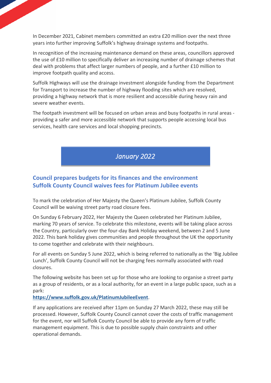In December 2021, Cabinet members committed an extra £20 million over the next three years into further improving Suffolk's highway drainage systems and footpaths.

In recognition of the increasing maintenance demand on these areas, councillors approved the use of £10 million to specifically deliver an increasing number of drainage schemes that deal with problems that affect larger numbers of people, and a further £10 million to improve footpath quality and access.

Suffolk Highways will use the drainage investment alongside funding from the Department for Transport to increase the number of highway flooding sites which are resolved, providing a highway network that is more resilient and accessible during heavy rain and severe weather events.

The footpath investment will be focused on urban areas and busy footpaths in rural areas providing a safer and more accessible network that supports people accessing local bus services, health care services and local shopping precincts.

*January 2022* 

## **Council prepares budgets for its finances and the environment Suffolk County Council waives fees for Platinum Jubilee events**

To mark the celebration of Her Majesty the Queen's Platinum Jubilee, Suffolk County Council will be waiving street party road closure fees.

On Sunday 6 February 2022, Her Majesty the Queen celebrated her Platinum Jubilee, marking 70 years of service. To celebrate this milestone, events will be taking place across the Country, particularly over the four-day Bank Holiday weekend, between 2 and 5 June 2022. This bank holiday gives communities and people throughout the UK the opportunity to come together and celebrate with their neighbours.

For all events on Sunday 5 June 2022, which is being referred to nationally as the 'Big Jubilee Lunch', Suffolk County Council will not be charging fees normally associated with road closures.

The following website has been set up for those who are looking to organise a street party as a group of residents, or as a local authority, for an event in a large public space, such as a park:

**[https://www.suffolk.gov.uk/PlatinumJubileeEvent](https://www.suffolk.gov.uk/roads-and-transport/roadworks/apply-for-a-queens-platinum-jubilee-street-party-or-other-public-event/)**.

If any applications are received after 11pm on Sunday 27 March 2022, these may still be processed. However, Suffolk County Council cannot cover the costs of traffic management for the event, nor will Suffolk County Council be able to provide any form of traffic management equipment. This is due to possible supply chain constraints and other operational demands.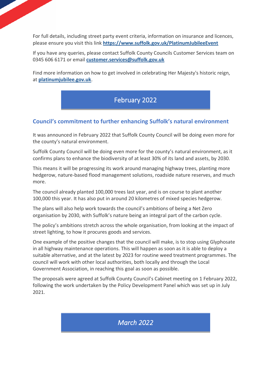For full details, including street party event criteria, information on insurance and licences, please ensure you visit this link **[https://www.suffolk.gov.uk/PlatinumJubileeEvent](https://www.suffolk.gov.uk/roads-and-transport/roadworks/apply-for-a-queens-platinum-jubilee-street-party-or-other-public-event/)**

If you have any queries, please contact Suffolk County Councils Customer Services team on 0345 606 6171 or email **[customer.services@suffolk.gov.uk](mailto:customer.services@suffolk.gov.uk)**

Find more information on how to get involved in celebrating Her Majesty's historic reign, at **[platinumjubilee.gov.uk](https://platinumjubilee.gov.uk/)**.

# February 2022

## **Council's commitment to further enhancing Suffolk's natural environment**

It was announced in February 2022 that Suffolk County Council will be doing even more for the county's natural environment.

Suffolk County Council will be doing even more for the county's natural environment, as it confirms plans to enhance the biodiversity of at least 30% of its land and assets, by 2030.

This means it will be progressing its work around managing highway trees, planting more hedgerow, nature-based flood management solutions, roadside nature reserves, and much more.

The council already planted 100,000 trees last year, and is on course to plant another 100,000 this year. It has also put in around 20 kilometres of mixed species hedgerow.

The plans will also help work towards the council's ambitions of being a Net Zero organisation by 2030, with Suffolk's nature being an integral part of the carbon cycle.

The policy's ambitions stretch across the whole organisation, from looking at the impact of street lighting, to how it procures goods and services.

One example of the positive changes that the council will make, is to stop using Glyphosate in all highway maintenance operations. This will happen as soon as it is able to deploy a suitable alternative, and at the latest by 2023 for routine weed treatment programmes. The council will work with other local authorities, both locally and through the Local Government Association, in reaching this goal as soon as possible.

The proposals were agreed at Suffolk County Council's Cabinet meeting on 1 February 2022, following the work undertaken by the Policy Development Panel which was set up in July 2021.

# *March 2022*